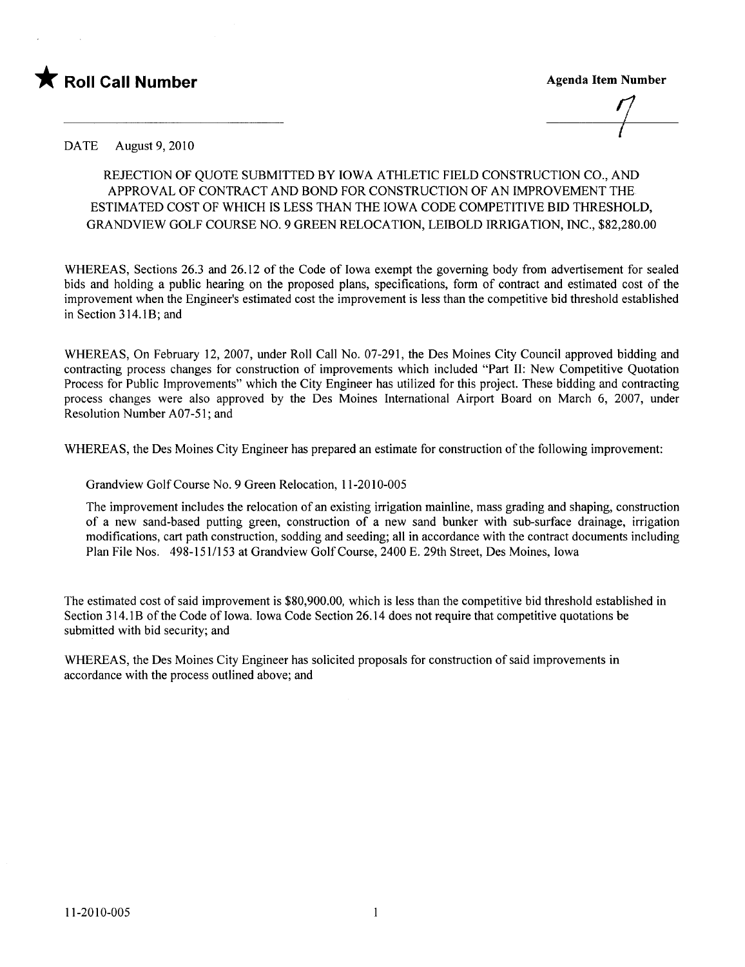

 $\overline{t}$ 

DATE August 9, 2010

## REJECTION OF OUOTE SUBMITTED BY IOWA ATHLETIC FIELD CONSTRUCTION CO., AND APPROVAL OF CONTRACT AND BOND FOR CONSTRUCTION OF AN IMPROVEMENT THE ESTIMATED COST OF WHICH is LESS THAN THE IOWA CODE COMPETITIVE BID THRESHOLD, GRANDVIEW GOLF COURSE NO.9 GREEN RELOCATION, LEIBOLD IRRIGATION, INC., \$82,280.00

WHEREAS, Sections 26.3 and 26.12 of the Code of Iowa exempt the governing body from advertisement for sealed bids and holding a public hearing on the proposed plans, specifications, form of contract and estimated cost of the improvement when the Engineer's estimated cost the improvement is less than the competitive bid threshold established in Section 3 14.lB; and

WHEREAS, On February 12,2007, under Roll Call No. 07-291, the Des Moines City Council approved bidding and contracting process changes for construction of improvements which included "Par II: New Competitive Quotation Process for Public Improvements" which the City Engineer has utilzed for this project. These bidding and contracting process changes were also approved by the Des Moines International Airport Board on March 6, 2007, under Resolution Number A07-51; and

WHEREAS, the Des Moines City Engineer has prepared an estimate for construction of the following improvement:

Grandview Golf Course No.9 Green Relocation, 11-2010-005

The improvement includes the relocation of an existing irrigation mainline, mass grading and shaping, construction of a new sand-based putting green, construction of a new sand bunker with sub-surface drainage, irrigation modifications, cart path construction, sodding and seeding; all in accordance with the contract documents including Plan File Nos. 498-151/153 at Grandview Golf Course, 2400 E. 29th Street, Des Moines, Iowa

The estimated cost of said improvement is \$80,900.00, which is less than the competitive bid threshold established in Section 314.1B of the Code of Iowa. Iowa Code Section 26.14 does not require that competitive quotations be submitted with bid security; and

WHEREAS, the Des Moines City Engineer has solicited proposals for construction of said improvements in accordance with the process outlined above; and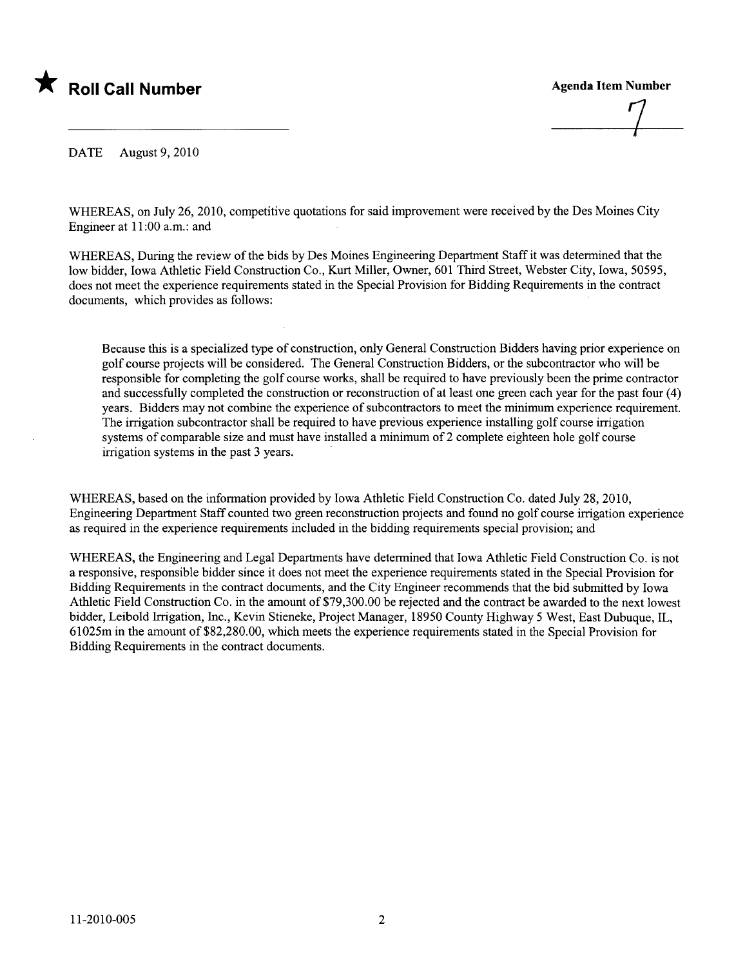

 $\frac{1}{\sqrt{2}}$ 

DATE August 9, 2010

WHEREAS, on July 26, 2010, competitive quotations for said improvement were received by the Des Moines City Engineer at 11 :00 a.m.: and

WHEREAS, During the review of the bids by Des Moines Engineering Deparment Staff it was determined that the low bidder, Iowa Athletic Field Construction Co., Kurt Miler, Owner, 601 Third Street, Webster City, Iowa, 50595, does not meet the experience requirements stated in the Special Provision for Bidding Requirements in the contract documents, which provides as follows:

Because this is a specialized type of construction, only General Construction Bidders having prior experience on golf course projects will be considered. The General Construction Bidders, or the subcontractor who will be responsible for completing the golf course works, shall be required to have previously been the prime contractor and successfully completed the construction or reconstruction of at least one green each year for the past four (4) years. Bidders may not combine the experience of subcontractors to meet the minimum experience requirement. The irrigation subcontractor shall be required to have previous experience installing golf course irrigation systems of comparable size and must have installed a minimum of 2 complete eighteen hole golf course irrigation systems in the past 3 years.

WHEREAS, based on the information provided by Iowa Athletic Field Construction Co. dated July 28,2010, Engineering Department Staff counted two green reconstruction projects and found no golf course irrigation experience as required in the experience requirements included in the bidding requirements special provision; and

WHEREAS, the Engineering and Legal Departments have determined that Iowa Athletic Field Construction Co. is not a responsive, responsible bidder since it does not meet the experience requirements stated in the Special Provision for Bidding Requirements in the contract documents, and the City Engineer recommends that the bid submitted by Iowa Athletic Field Construction Co. in the amount of \$79,300.00 be rejected and the contract be awarded to the next lowest bidder, Leibold Irrigation, Inc., Kevin Stieneke, Project Manager, 18950 County Highway 5 West, East Dubuque, IL, 61025m in the amount of \$82,280.00, which meets the experience requirements stated in the Special Provision for Bidding Requirements in the contract documents.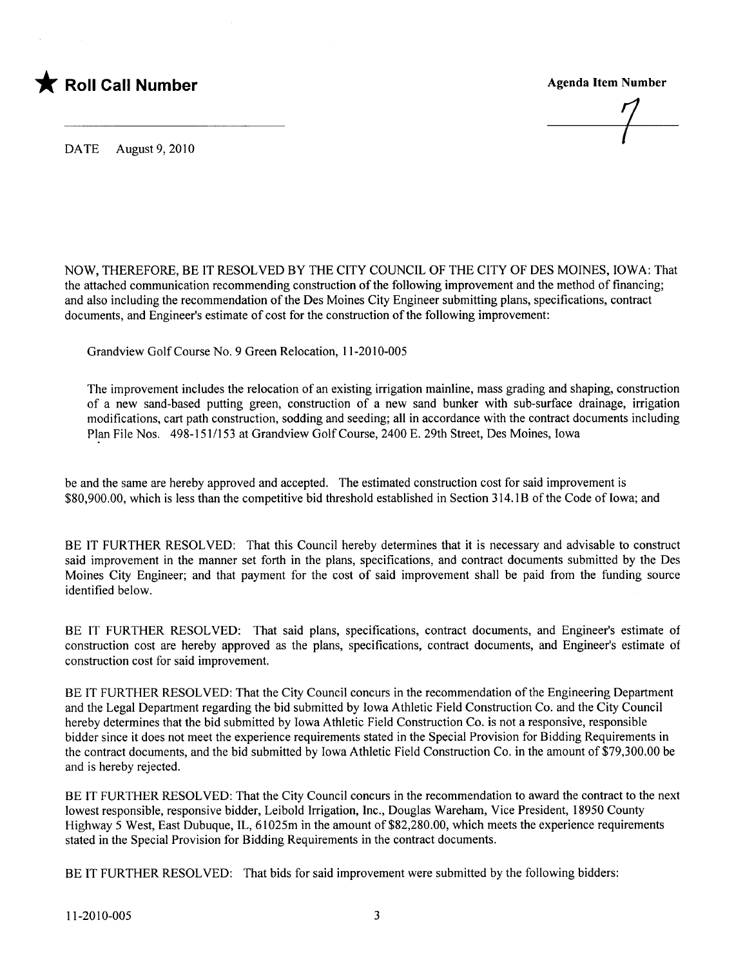

DATE August 9, 2010

NOW, THEREFORE, BE IT RESOLVED BY THE CITY COUNCIL OF THE CITY OF DES MOINES, IOWA: That the attached communication recommending construction of the following improvement and the method of financing; and also including the recommendation of the Des Moines City Engineer submitting plans, specifications, contract documents, and Engineer's estimate of cost for the construction of the following improvement:

Grandview Golf Course No.9 Green Relocation, 11-2010-005

The improvement includes the relocation of an existing irrigation mainline, mass grading and shaping, construction of a new sand-based putting green, construction of a new sand bunker with sub-surface drainage, irrigation modifications, cart path construction, sodding and seeding; all in accordance with the contract documents including Plan File Nos. 498-151/153 at Grandview Golf Course, 2400 E. 29th Street, Des Moines, Iowa

be and the same are hereby approved and accepted. The estimated construction cost for said improvement is \$80,900.00, which is less than the competitive bid threshold established in Section 314.1B of the Code of Iowa; and

BE IT FURTHER RESOLVED: That this Council hereby determines that it is necessary and advisable to construct said improvement in the manner set forth in the plans, specifications, and contract documents submitted by the Des Moines City Engineer; and that payment for the cost of said improvement shall be paid from the funding source identified below.

BE IT FURTHER RESOLVED: That said plans, specifications, contract documents, and Engineer's estimate of construction cost are hereby approved as the plans, specifications, contract documents, and Engineer's estimate of construction cost for said improvement.

BE IT FURTHER RESOLVED: That the City Council concurs in the recommendation of the Engineering Department and the Legal Department regarding the bid submitted by Iowa Athletic Field Construction Co. and the City Council hereby determines that the bid submitted by Iowa Athletic Field Construction Co. is not a responsive, responsible bidder since it does not meet the experience requirements stated in the Special Provision for Bidding Requirements in the contract documents, and the bid submitted by Iowa Athletic Field Construction Co. in the amount of \$79,300.00 be and is hereby rejected.

BE IT FURTHER RESOLVED: That the City Council concurs in the recommendation to award the contract to the next lowest responsible, responsive bidder, Leibold Irrigation, Inc., Douglas Wareham, Vice President, 18950 County Highway 5 West, East Dubuque, IL, 61025m in the amount of \$82,280.00, which meets the experience requirements stated in the Special Provision for Bidding Requirements in the contract documents.

BE IT FURTHER RESOLVED: That bids for said improvement were submitted by the following bidders: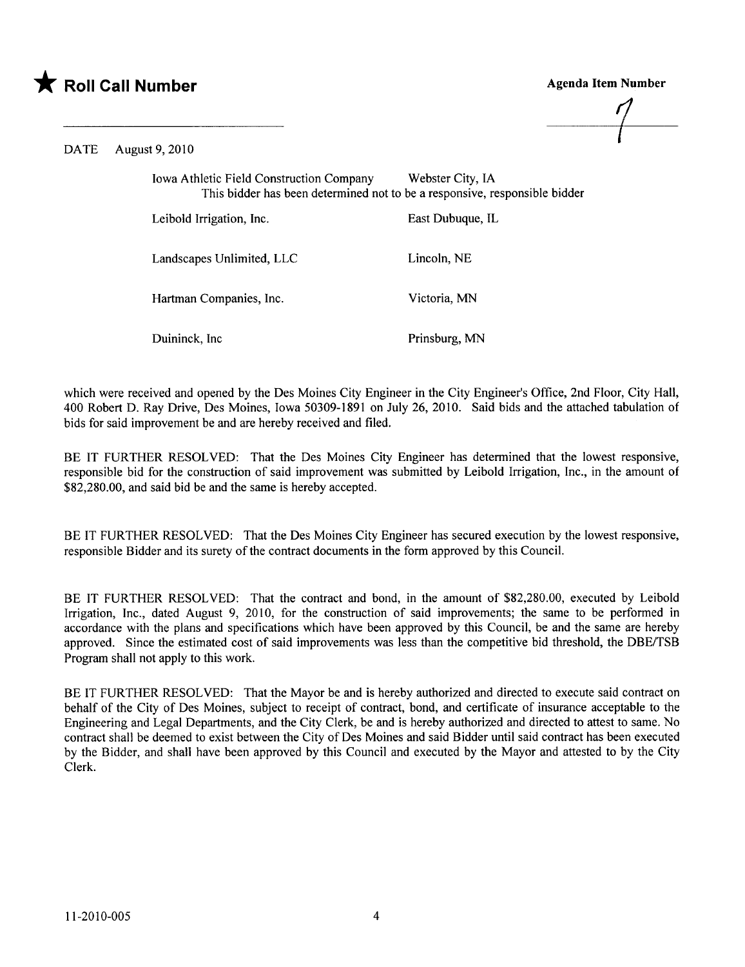



DATE August 9, 2010

Iowa Athletic Field Construction Company Webster City, IA This bidder has been determined not to be a responsive, responsible bidder

Leibold Irrigation, Inc. East Dubuque, IL Landscapes Unlimited, LLC Lincoln, NE Hartman Companies, Inc. Victoria, MN

Duininck, Inc Prinsburg, MN

which were received and opened by the Des Moines City Engineer in the City Engineer's Office, 2nd Floor, City Hall, 400 Robert D. Ray Drive, Des Moines, Iowa 50309-1891 on July 26,2010. Said bids and the attached tabulation of bids for said improvement be and are hereby received and fied.

BE IT FURTHER RESOLVED: That the Des Moines City Engineer has determined that the lowest responsive, responsible bid for the construction of said improvement was submitted by Leibold Irrigation, Inc., in the amount of \$82,280.00, and said bid be and the same is hereby accepted.

BE IT FURTHER RESOLVED: That the Des Moines City Engineer has secured execution by the lowest responsive, responsible Bidder and its surety of the contract documents in the form approved by this CounciL.

BE IT FURTHER RESOLVED: That the contract and bond, in the amount of \$82,280.00, executed by Leibold Irrigation, Inc., dated August 9, 2010, for the construction of said improvements; the same to be performed in accordance with the plans and specifications which have been approved by this Council, be and the same are hereby approved. Since the estimated cost of said improvements was less than the competitive bid threshold, the DBE/TSB Program shall not apply to this work.

BE IT FURTHER RESOLVED: That the Mayor be and is hereby authorized and directed to execute said contract on behalf of the City of Des Moines, subject to receipt of contract, bond, and certificate of insurance acceptable to the Engineering and Legal Deparments, and the City Clerk, be and is hereby authorized and directed to attest to same. No contract shall be deemed to exist between the City of Des Moines and said Bidder until said contract has been executed by the Bidder, and shall have been approved by this Council and executed by the Mayor and attested to by the City Clerk.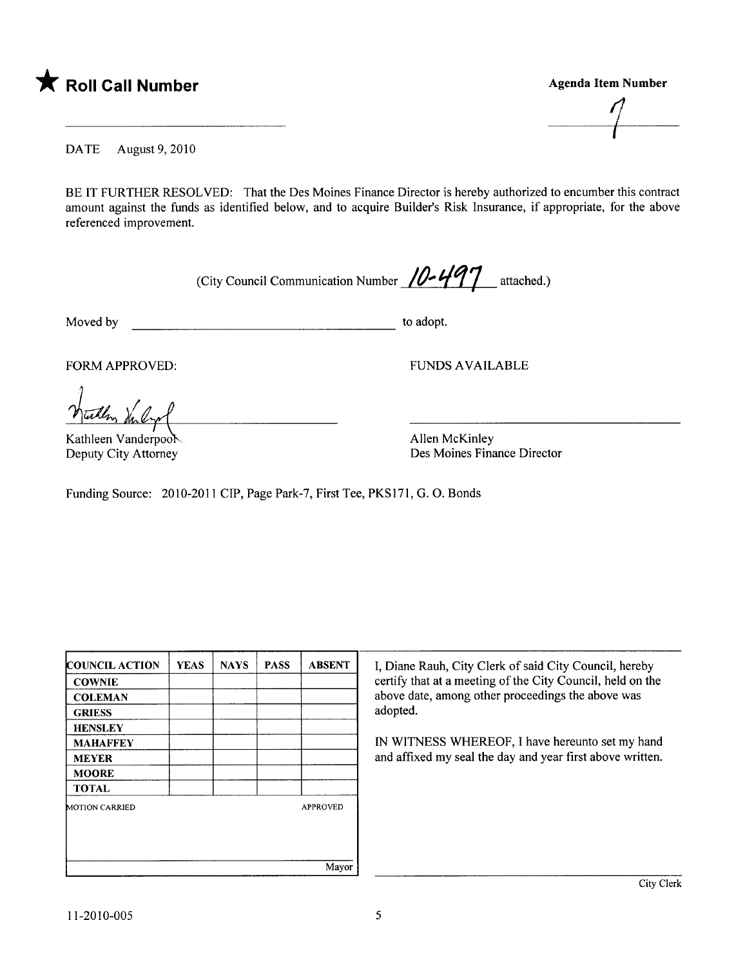

 $\overline{1}$ 

DATE August 9, 2010

BE IT FURTHER RESOLVED: That the Des Moines Finance Director is hereby authorized to encumber this contract amount against the funds as identified below, and to acquire Builder's Risk Insurance, if appropriate, for the above referenced improvement.

(City Council Communication Number  $/0.497$  attached.)

Moved by to adopt.

FORM APPROVED: TUNDS AVAILABLE

With Inlyr

Kathleen Vanderpoo Deputy City Attorney

Allen McKinley Des Moines Finance Director

Funding Source: 2010-2011 CIP, Page Park-7, First Tee, PKS171, G.O. Bonds

| <b>COUNCIL ACTION</b> | <b>YEAS</b> | <b>NAYS</b> | <b>PASS</b> | <b>ABSENT</b>   | I, Diane   |
|-----------------------|-------------|-------------|-------------|-----------------|------------|
| <b>COWNIE</b>         |             |             |             |                 | certify tl |
| <b>COLEMAN</b>        |             |             |             |                 | above da   |
| <b>GRIESS</b>         |             |             |             |                 | adopted.   |
| <b>HENSLEY</b>        |             |             |             |                 |            |
| <b>MAHAFFEY</b>       |             |             |             |                 | IN WIT     |
| <b>MEYER</b>          |             |             |             |                 | and affix  |
| <b>MOORE</b>          |             |             |             |                 |            |
| <b>TOTAL</b>          |             |             |             |                 |            |
| <b>MOTION CARRIED</b> |             |             |             | <b>APPROVED</b> |            |
|                       |             |             |             |                 |            |
|                       |             |             |             |                 |            |
|                       |             |             |             |                 |            |
|                       |             |             |             | Mayor           |            |

I, Diane Rauh, City Clerk of said City Council, hereby certify that at a meeting of the City Council, held on the above date, among other proceedings the above was

IN WITNESS WHEREOF, I have hereunto set my hand and affixed my seal the day and year first above written.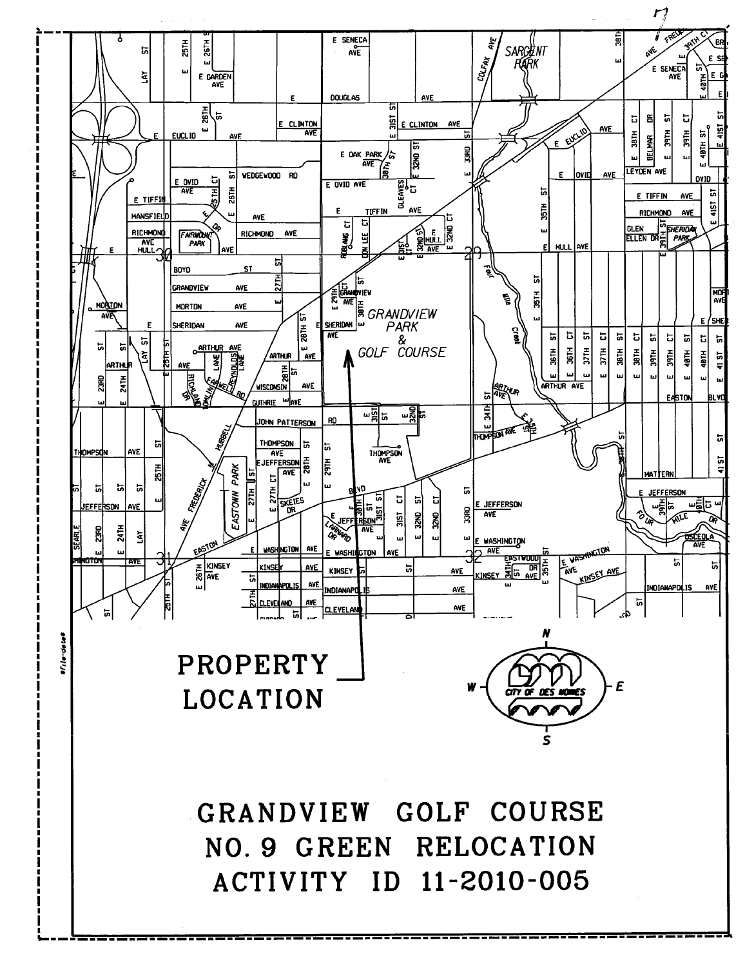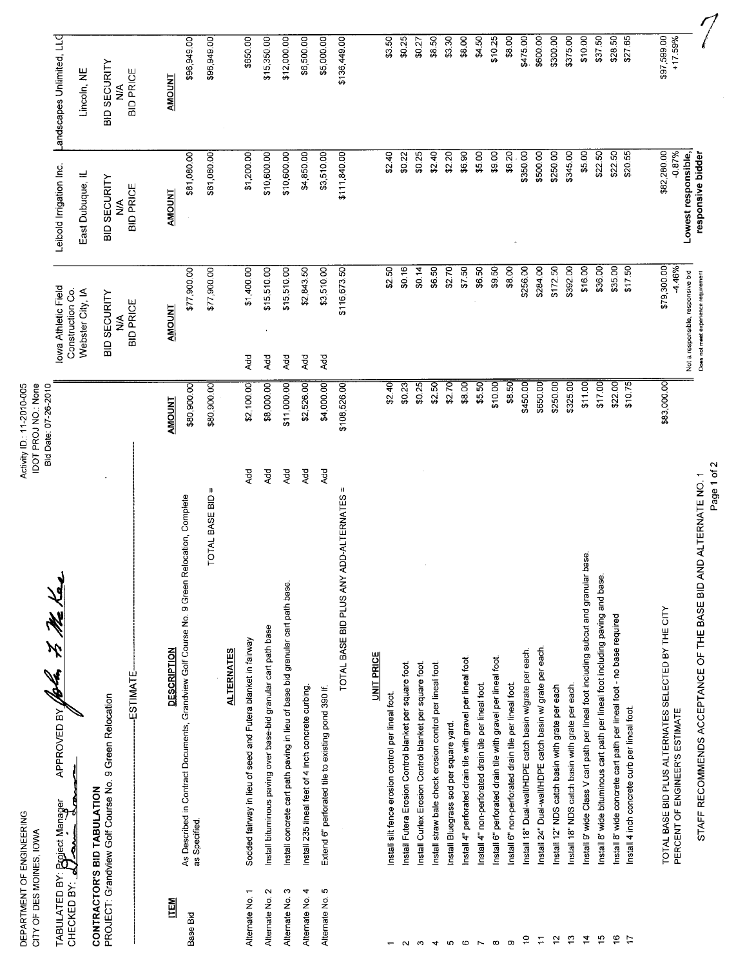| DEPARTMENT OF ENGINEERING<br>CITY OF DES MOINES, IOWA |                                                                                                            | IDOT PROJ NO.: None<br>Activity ID: 11-2010-005<br>Bid Date: 07-26-2010 |                                                             |                                             |                                          |
|-------------------------------------------------------|------------------------------------------------------------------------------------------------------------|-------------------------------------------------------------------------|-------------------------------------------------------------|---------------------------------------------|------------------------------------------|
| CHECKED BY:                                           | APPROVED BY JOAN 75 Me Ka<br>TABULATED BY: Broject Manager                                                 |                                                                         | Iowa Athletic Field<br>Construction Co.<br>Webster City, IA | Leibold Irrigation Inc.<br>East Dubuque, IL | Landscapes Unlimited, LLC<br>Lincoln, NE |
|                                                       | PROJECT: Grandview Golf Course No. 9 Green Relocation<br>CONTRACTOR'S BID TABULATION                       |                                                                         | <b>BID SECURITY</b>                                         | BID SECURITY                                | BID SECURITY                             |
|                                                       | ESTIMATE                                                                                                   |                                                                         | <b>BID PRICE</b><br>≸                                       | <b>BID PRICE</b><br>⋚                       | <b>BID PRICE</b><br>∕<<br>≷              |
| <u>ITEM</u>                                           | <b>DESCRIPTION</b>                                                                                         | <b>AMOUNT</b>                                                           | <b>AMOUNT</b>                                               | <b>AMOUNT</b>                               | <b>AMOUNT</b>                            |
| Base Bid                                              | As Described in Contract Documents, Grandview Golf Course No. 9 Green Relocation, Complete<br>as Specified | \$80,900.00                                                             | \$77,900.00                                                 | \$81,080.00                                 | \$96,949.00                              |
|                                                       | OTAL BASE BID =<br>F                                                                                       | \$80,900.00                                                             | \$77,900.00                                                 | \$81,080.00                                 | \$96,949.00                              |
|                                                       | <b>ALTERNATES</b>                                                                                          |                                                                         |                                                             |                                             |                                          |
| Alternate No. 1                                       | Sodded fairway in lieu of seed and Futera blanket in fairway                                               | \$2,100.00<br>Add                                                       | \$1,400.00<br>Add                                           | \$1,200.00                                  | \$650.00                                 |
| Alternate No. 2                                       | Install bituminous paving over base-bid granular cart path base                                            | \$8,000.00<br>Rd                                                        | \$15,510.00<br>Add                                          | \$10,600.00                                 | \$15,350.00                              |
| Alternate No. 3                                       | Install concrete cart path paving in lieu of base bid granular cart path base.                             | \$11,000.00<br>Add                                                      | \$15,510.00<br>Add                                          | \$10,600.00                                 | \$12,000.00                              |
| Alternate No. 4                                       | Install 235 lineal feet of 4 inch concrete curbing.                                                        | \$2,526.00<br>Add                                                       | \$2,843.50<br>Add                                           | \$4,850.00                                  | \$6,500.00                               |
| Alternate No. 5                                       | Extend 6" perforated tile to existing pond 390 If.                                                         | \$4,000.00<br>Add                                                       | \$3,510.00<br>Add                                           | \$3,510.00                                  | \$5,000.00                               |
|                                                       | TOTAL BASE BID PLUS ANY ADD-ALTERNATES                                                                     | \$108,526.00                                                            | \$116,673.50                                                | \$111,840.00                                | \$136,449.00                             |
|                                                       | <b>UNIT PRICE</b>                                                                                          |                                                                         |                                                             |                                             |                                          |
|                                                       | Install silt fence erosion control per lineal foot.                                                        | \$240                                                                   | \$2.50                                                      | \$2.40                                      | \$3.50                                   |
| $\sim$                                                | Install Futera Erosion Control blanket per square foot                                                     | \$0.23                                                                  | \$0.16                                                      | \$0.22                                      | \$0.25                                   |
| ო                                                     | Install Curlex Erosion Control blanket per square foot                                                     | \$0.25                                                                  | \$0.14                                                      | \$0.25                                      | \$0.27                                   |
| $\overline{v}$                                        | Install straw bale check erosion control per lineal foot.                                                  | 52.50                                                                   | \$6.50                                                      | \$2.40                                      | \$8.50]                                  |
| S                                                     | Install Bluegrass sod per square yard.                                                                     | \$2.70                                                                  | \$2.70                                                      | \$2.20                                      | \$3.30                                   |
| $\mathbf \omega$                                      | Install 4" perforated drain tile with gravel per lineal foot.                                              | 58.00                                                                   | \$7,50                                                      | \$6.90                                      | \$8.00                                   |
| $\overline{r}$                                        | Install 4" non-perforated drain tile per lineal foot.                                                      | \$5.50                                                                  | \$6.50                                                      | \$5.00                                      | \$4.50                                   |
| $\infty$                                              | Install 6" perforated drain tile with gravel per lineal foot.                                              | \$10.00                                                                 | \$9.50                                                      | \$9.00                                      | \$10.25                                  |
| တ                                                     | Install 6" non-perforated drain tile per lineal foot.                                                      | \$8.50                                                                  | \$8.00                                                      | \$6.20                                      | \$8.00                                   |
| $\tilde{c}$                                           | Install 18" Dual-wall/HDPE catch basin w/grate per each.                                                   | \$450.00                                                                | \$256.00                                                    | \$350.00                                    | \$475.00                                 |
| $\overline{\mathbb{H}}$                               | Install 24" Dual-wall/HDPE catch basin w/ grate per each                                                   | \$650.00                                                                | \$284.00                                                    | \$500.00                                    | \$600.00                                 |
| $\tilde{a}$                                           | Install 12" NDS catch basin with grate per each                                                            | \$250.00                                                                | \$172.50                                                    | \$250.00                                    | \$300.00                                 |
| $\mathrel{\mathop{\mathbb{C}}}\nolimits$              | Install 18" NDS catch basin with grate per each.                                                           | \$11.00<br>\$325.00                                                     | \$392.00<br>\$16.00                                         | \$345.00<br>\$5.00                          | \$375.00<br>\$10.00                      |
| $\overline{a}$                                        | Install 9' wide Class V cart path per lineal foot including subcut and granular base.                      |                                                                         | \$36.00                                                     | \$22.50                                     | \$37.50                                  |
| $\frac{1}{2}$                                         | Install 8' wide bituminous cart path per lineal foot including paving and base                             | \$22.00<br>\$1700                                                       | \$35.00                                                     | \$22.50                                     | \$28.50                                  |
| $\frac{6}{5}$                                         | Install 8' wide concrete cart path per lineal foot - no base required                                      | \$10.75                                                                 | \$17.50                                                     | \$20.55                                     | \$27.65                                  |
| $\overline{1}$                                        | Install 4 inch concrete curb per lineal foot.                                                              |                                                                         |                                                             |                                             |                                          |
|                                                       | TOTAL BASE BID PLUS ALTERNATES SELECTED BY THE CITY                                                        | \$83,000.00                                                             | \$79,300.00                                                 | \$82,280.00                                 | \$97,599.00                              |
|                                                       | PERCENT OF ENGINEER'S ESTIMATE                                                                             |                                                                         | 4.46%<br>Not a responsible, responsive bid                  | $-0.87%$<br>Lowest responsible,             | $+17.59%$                                |
|                                                       | ALTERNATE NO. 1<br>STAFF RECOMMENDS ACCEPTANCE OF THE BASE BID AND                                         |                                                                         | Does not meet experience requirement                        | responsive bidder                           |                                          |
|                                                       | Page 1 of 2                                                                                                |                                                                         |                                                             |                                             |                                          |